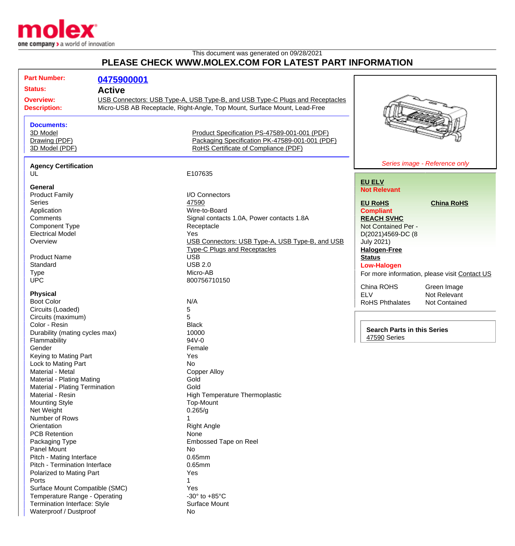

## This document was generated on 09/28/2021 **PLEASE CHECK WWW.MOLEX.COM FOR LATEST PART INFORMATION**

| <b>Part Number:</b>            | 0475900001 |                                                                              |                                    |                                               |
|--------------------------------|------------|------------------------------------------------------------------------------|------------------------------------|-----------------------------------------------|
| <b>Status:</b>                 |            |                                                                              |                                    |                                               |
| <b>Active</b>                  |            |                                                                              |                                    |                                               |
| <b>Overview:</b>               |            | USB Connectors: USB Type-A, USB Type-B, and USB Type-C Plugs and Receptacles |                                    |                                               |
| <b>Description:</b>            |            | Micro-USB AB Receptacle, Right-Angle, Top Mount, Surface Mount, Lead-Free    |                                    |                                               |
|                                |            |                                                                              |                                    |                                               |
| <b>Documents:</b>              |            |                                                                              |                                    |                                               |
| 3D Model                       |            | Product Specification PS-47589-001-001 (PDF)                                 |                                    |                                               |
| Drawing (PDF)                  |            | Packaging Specification PK-47589-001-001 (PDF)                               |                                    |                                               |
| 3D Model (PDF)                 |            | RoHS Certificate of Compliance (PDF)                                         |                                    |                                               |
|                                |            |                                                                              |                                    |                                               |
| <b>Agency Certification</b>    |            |                                                                              |                                    | Series image - Reference only                 |
| UL                             |            | E107635                                                                      |                                    |                                               |
|                                |            |                                                                              | <b>EU ELV</b>                      |                                               |
| General                        |            | I/O Connectors                                                               | <b>Not Relevant</b>                |                                               |
| <b>Product Family</b>          |            |                                                                              |                                    |                                               |
| <b>Series</b>                  |            | 47590                                                                        | <b>EU RoHS</b>                     | <b>China RoHS</b>                             |
| Application                    |            | Wire-to-Board                                                                | <b>Compliant</b>                   |                                               |
| Comments                       |            | Signal contacts 1.0A, Power contacts 1.8A                                    | <b>REACH SVHC</b>                  |                                               |
| <b>Component Type</b>          |            | Receptacle                                                                   | Not Contained Per -                |                                               |
| <b>Electrical Model</b>        |            | Yes                                                                          | D(2021)4569-DC (8                  |                                               |
| Overview                       |            | USB Connectors: USB Type-A, USB Type-B, and USB                              | <b>July 2021)</b>                  |                                               |
|                                |            | <b>Type-C Plugs and Receptacles</b>                                          | <b>Halogen-Free</b>                |                                               |
| <b>Product Name</b>            |            | <b>USB</b>                                                                   | <b>Status</b>                      |                                               |
| Standard                       |            | <b>USB 2.0</b>                                                               | <b>Low-Halogen</b>                 |                                               |
| <b>Type</b>                    |            | Micro-AB                                                                     |                                    | For more information, please visit Contact US |
| <b>UPC</b>                     |            | 800756710150                                                                 |                                    |                                               |
|                                |            |                                                                              | China ROHS                         | Green Image                                   |
| <b>Physical</b>                |            |                                                                              | <b>ELV</b>                         | Not Relevant                                  |
| <b>Boot Color</b>              |            | N/A                                                                          | <b>RoHS Phthalates</b>             | Not Contained                                 |
| Circuits (Loaded)              |            | 5                                                                            |                                    |                                               |
| Circuits (maximum)             |            | 5                                                                            |                                    |                                               |
| Color - Resin                  |            | <b>Black</b>                                                                 |                                    |                                               |
| Durability (mating cycles max) |            | 10000                                                                        | <b>Search Parts in this Series</b> |                                               |
| Flammability                   |            | 94V-0                                                                        | 47590 Series                       |                                               |
| Gender                         |            | Female                                                                       |                                    |                                               |
| Keying to Mating Part          |            | Yes                                                                          |                                    |                                               |
| Lock to Mating Part            |            | No                                                                           |                                    |                                               |
| Material - Metal               |            | <b>Copper Alloy</b>                                                          |                                    |                                               |
| Material - Plating Mating      |            | Gold                                                                         |                                    |                                               |
| Material - Plating Termination |            | Gold                                                                         |                                    |                                               |
| Material - Resin               |            | High Temperature Thermoplastic                                               |                                    |                                               |
| <b>Mounting Style</b>          |            | Top-Mount                                                                    |                                    |                                               |
| Net Weight                     |            | 0.265/g                                                                      |                                    |                                               |
| Number of Rows                 |            |                                                                              |                                    |                                               |
| Orientation                    |            | <b>Right Angle</b>                                                           |                                    |                                               |
| <b>PCB Retention</b>           |            | None                                                                         |                                    |                                               |
| Packaging Type                 |            | Embossed Tape on Reel                                                        |                                    |                                               |
| Panel Mount                    |            | No                                                                           |                                    |                                               |
|                                |            | 0.65mm                                                                       |                                    |                                               |
| Pitch - Mating Interface       |            |                                                                              |                                    |                                               |
| Pitch - Termination Interface  |            | 0.65mm                                                                       |                                    |                                               |
| Polarized to Mating Part       |            | Yes                                                                          |                                    |                                               |
| Ports                          |            |                                                                              |                                    |                                               |
| Surface Mount Compatible (SMC) |            | Yes                                                                          |                                    |                                               |
| Temperature Range - Operating  |            | -30 $\degree$ to +85 $\degree$ C                                             |                                    |                                               |
| Termination Interface: Style   |            | Surface Mount                                                                |                                    |                                               |
| Waterproof / Dustproof         |            | No                                                                           |                                    |                                               |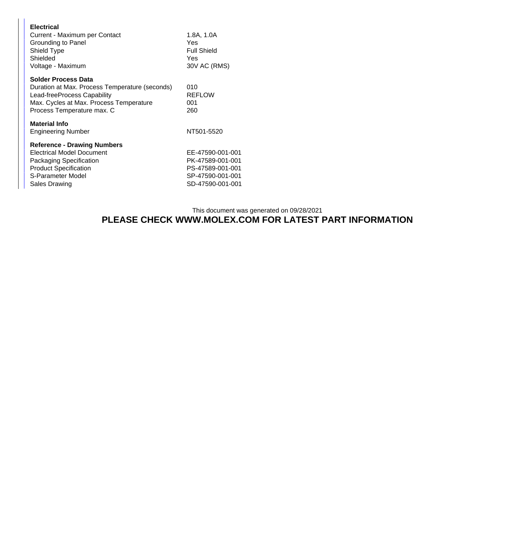| <b>Electrical</b><br>Current - Maximum per Contact<br>Grounding to Panel<br>Shield Type<br>Shielded<br>Voltage - Maximum                                                             | 1.8A, 1.0A<br>Yes<br><b>Full Shield</b><br>Yes<br>30V AC (RMS)                                   |  |
|--------------------------------------------------------------------------------------------------------------------------------------------------------------------------------------|--------------------------------------------------------------------------------------------------|--|
| <b>Solder Process Data</b><br>Duration at Max. Process Temperature (seconds)<br>Lead-freeProcess Capability<br>Max. Cycles at Max. Process Temperature<br>Process Temperature max. C | 010<br><b>REFLOW</b><br>001<br>260                                                               |  |
| <b>Material Info</b><br>Engineering Number                                                                                                                                           | NT501-5520                                                                                       |  |
| <b>Reference - Drawing Numbers</b><br>Electrical Model Document<br><b>Packaging Specification</b><br><b>Product Specification</b><br>S-Parameter Model<br>Sales Drawing              | EE-47590-001-001<br>PK-47589-001-001<br>PS-47589-001-001<br>SP-47590-001-001<br>SD-47590-001-001 |  |

## This document was generated on 09/28/2021 **PLEASE CHECK WWW.MOLEX.COM FOR LATEST PART INFORMATION**